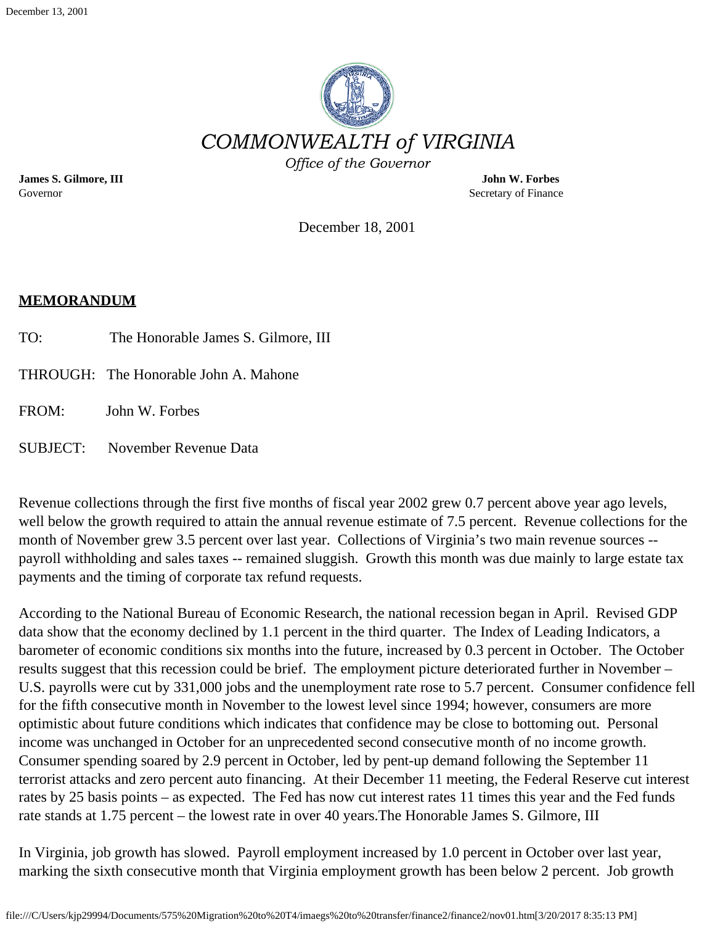

**James S. Gilmore, III John W. Forbes** Governor Secretary of Finance Secretary of Finance Secretary of Finance Secretary of Finance Secretary of  $S$ 

December 18, 2001

#### **MEMORANDUM**

- TO: The Honorable James S. Gilmore, III
- THROUGH: The Honorable John A. Mahone
- FROM: John W. Forbes
- SUBJECT: November Revenue Data

Revenue collections through the first five months of fiscal year 2002 grew 0.7 percent above year ago levels, well below the growth required to attain the annual revenue estimate of 7.5 percent. Revenue collections for the month of November grew 3.5 percent over last year. Collections of Virginia's two main revenue sources - payroll withholding and sales taxes -- remained sluggish. Growth this month was due mainly to large estate tax payments and the timing of corporate tax refund requests.

According to the National Bureau of Economic Research, the national recession began in April. Revised GDP data show that the economy declined by 1.1 percent in the third quarter. The Index of Leading Indicators, a barometer of economic conditions six months into the future, increased by 0.3 percent in October. The October results suggest that this recession could be brief. The employment picture deteriorated further in November – U.S. payrolls were cut by 331,000 jobs and the unemployment rate rose to 5.7 percent. Consumer confidence fell for the fifth consecutive month in November to the lowest level since 1994; however, consumers are more optimistic about future conditions which indicates that confidence may be close to bottoming out. Personal income was unchanged in October for an unprecedented second consecutive month of no income growth. Consumer spending soared by 2.9 percent in October, led by pent-up demand following the September 11 terrorist attacks and zero percent auto financing. At their December 11 meeting, the Federal Reserve cut interest rates by 25 basis points – as expected. The Fed has now cut interest rates 11 times this year and the Fed funds rate stands at 1.75 percent – the lowest rate in over 40 years.The Honorable James S. Gilmore, III

In Virginia, job growth has slowed. Payroll employment increased by 1.0 percent in October over last year, marking the sixth consecutive month that Virginia employment growth has been below 2 percent. Job growth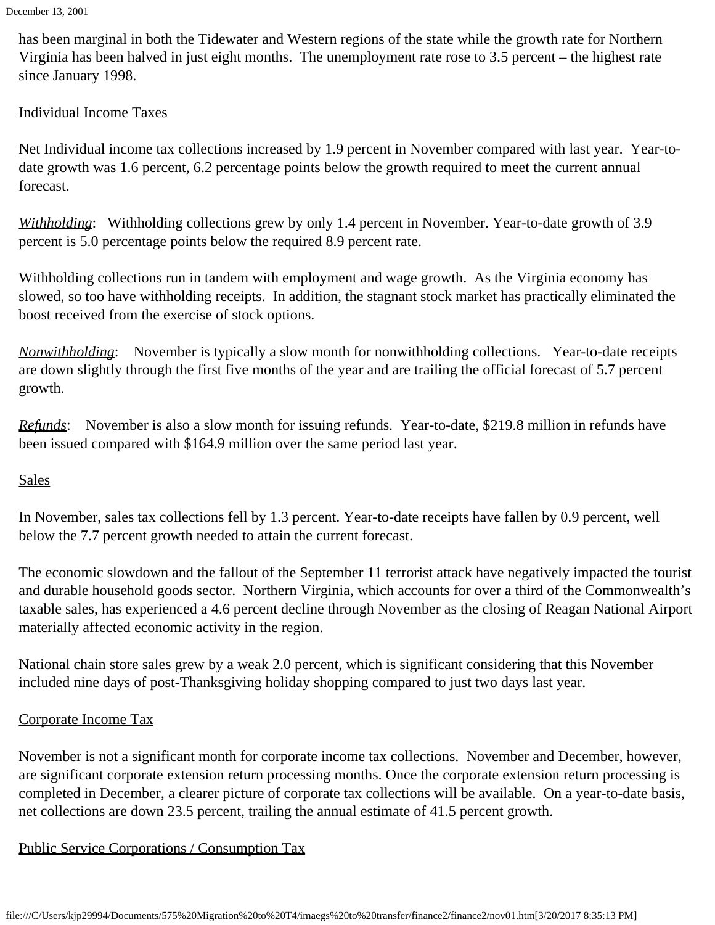has been marginal in both the Tidewater and Western regions of the state while the growth rate for Northern Virginia has been halved in just eight months. The unemployment rate rose to 3.5 percent – the highest rate since January 1998.

# Individual Income Taxes

Net Individual income tax collections increased by 1.9 percent in November compared with last year. Year-todate growth was 1.6 percent, 6.2 percentage points below the growth required to meet the current annual forecast.

*Withholding*: Withholding collections grew by only 1.4 percent in November. Year-to-date growth of 3.9 percent is 5.0 percentage points below the required 8.9 percent rate.

Withholding collections run in tandem with employment and wage growth. As the Virginia economy has slowed, so too have withholding receipts. In addition, the stagnant stock market has practically eliminated the boost received from the exercise of stock options.

*Nonwithholding*: November is typically a slow month for nonwithholding collections. Year-to-date receipts are down slightly through the first five months of the year and are trailing the official forecast of 5.7 percent growth.

*Refunds*: November is also a slow month for issuing refunds. Year-to-date, \$219.8 million in refunds have been issued compared with \$164.9 million over the same period last year.

# **Sales**

In November, sales tax collections fell by 1.3 percent. Year-to-date receipts have fallen by 0.9 percent, well below the 7.7 percent growth needed to attain the current forecast.

The economic slowdown and the fallout of the September 11 terrorist attack have negatively impacted the tourist and durable household goods sector. Northern Virginia, which accounts for over a third of the Commonwealth's taxable sales, has experienced a 4.6 percent decline through November as the closing of Reagan National Airport materially affected economic activity in the region.

National chain store sales grew by a weak 2.0 percent, which is significant considering that this November included nine days of post-Thanksgiving holiday shopping compared to just two days last year.

# Corporate Income Tax

November is not a significant month for corporate income tax collections. November and December, however, are significant corporate extension return processing months. Once the corporate extension return processing is completed in December, a clearer picture of corporate tax collections will be available. On a year-to-date basis, net collections are down 23.5 percent, trailing the annual estimate of 41.5 percent growth.

#### Public Service Corporations / Consumption Tax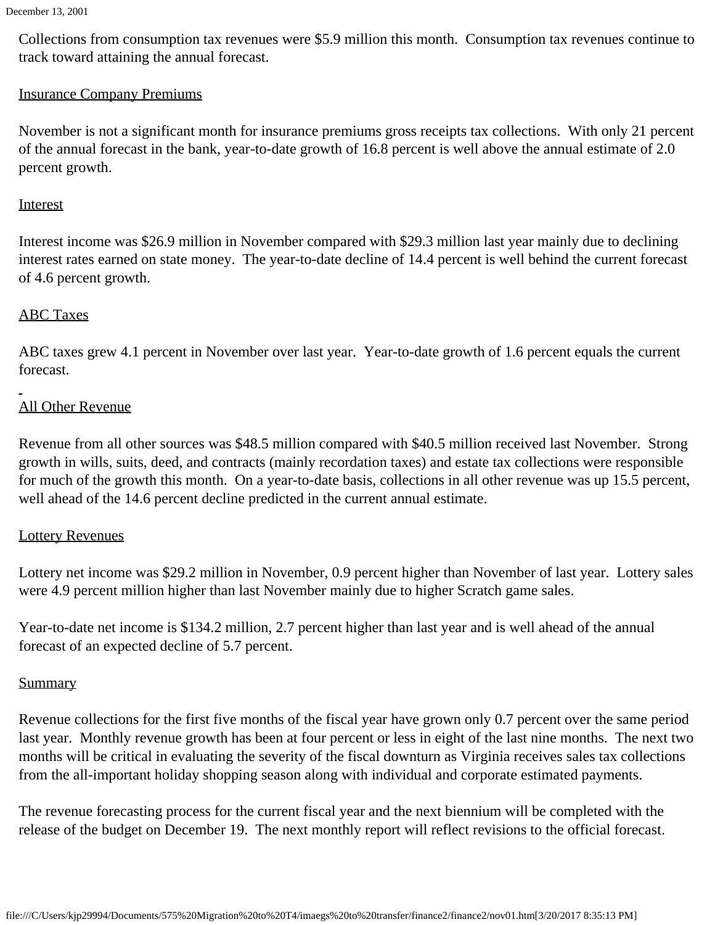December 13, 2001

Collections from consumption tax revenues were \$5.9 million this month. Consumption tax revenues continue to track toward attaining the annual forecast.

## Insurance Company Premiums

November is not a significant month for insurance premiums gross receipts tax collections. With only 21 percent of the annual forecast in the bank, year-to-date growth of 16.8 percent is well above the annual estimate of 2.0 percent growth.

#### **Interest**

Interest income was \$26.9 million in November compared with \$29.3 million last year mainly due to declining interest rates earned on state money. The year-to-date decline of 14.4 percent is well behind the current forecast of 4.6 percent growth.

## ABC Taxes

ABC taxes grew 4.1 percent in November over last year. Year-to-date growth of 1.6 percent equals the current forecast.

## All Other Revenue

Revenue from all other sources was \$48.5 million compared with \$40.5 million received last November. Strong growth in wills, suits, deed, and contracts (mainly recordation taxes) and estate tax collections were responsible for much of the growth this month. On a year-to-date basis, collections in all other revenue was up 15.5 percent, well ahead of the 14.6 percent decline predicted in the current annual estimate.

#### Lottery Revenues

Lottery net income was \$29.2 million in November, 0.9 percent higher than November of last year. Lottery sales were 4.9 percent million higher than last November mainly due to higher Scratch game sales.

Year-to-date net income is \$134.2 million, 2.7 percent higher than last year and is well ahead of the annual forecast of an expected decline of 5.7 percent.

#### **Summary**

Revenue collections for the first five months of the fiscal year have grown only 0.7 percent over the same period last year. Monthly revenue growth has been at four percent or less in eight of the last nine months. The next two months will be critical in evaluating the severity of the fiscal downturn as Virginia receives sales tax collections from the all-important holiday shopping season along with individual and corporate estimated payments.

The revenue forecasting process for the current fiscal year and the next biennium will be completed with the release of the budget on December 19. The next monthly report will reflect revisions to the official forecast.